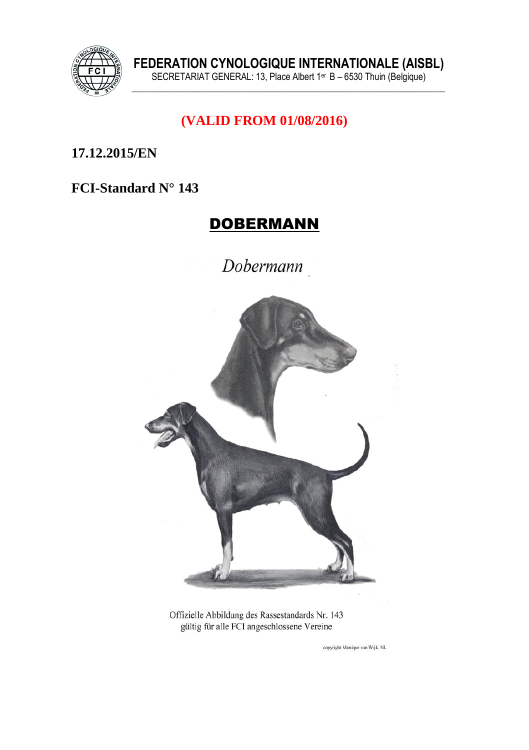

## (VALID FROM 01/08/2016)

17.12.2015/EN

#### FCI-Standard N° 143

# **DOBERMANN**

Dobermann



Offizielle Abbildung des Rassestandards Nr. 143 gültig für alle FCI angeschlossene Vereine

copyright Monique van Wijk, NL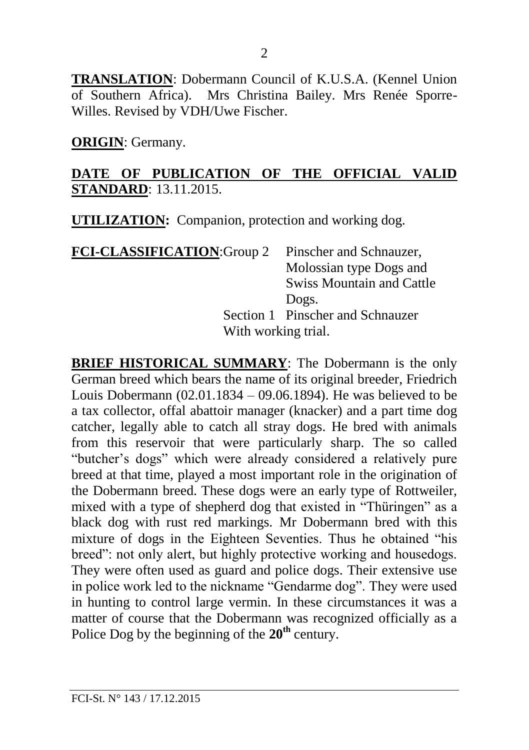**TRANSLATION**: Dobermann Council of K.U.S.A. (Kennel Union of Southern Africa). Mrs Christina Bailey. Mrs Renée Sporre-Willes. Revised by VDH/Uwe Fischer.

**ORIGIN**: Germany.

#### **DATE OF PUBLICATION OF THE OFFICIAL VALID STANDARD**: 13.11.2015.

**UTILIZATION:** Companion, protection and working dog.

| <b>FCI-CLASSIFICATION: Group 2</b> | Pinscher and Schnauzer,          |  |
|------------------------------------|----------------------------------|--|
|                                    | Molossian type Dogs and          |  |
|                                    | <b>Swiss Mountain and Cattle</b> |  |
|                                    | Dogs.                            |  |
|                                    | Section 1 Pinscher and Schnauzer |  |
|                                    | With working trial.              |  |

**BRIEF HISTORICAL SUMMARY**: The Dobermann is the only German breed which bears the name of its original breeder, Friedrich Louis Dobermann (02.01.1834 – 09.06.1894). He was believed to be a tax collector, offal abattoir manager (knacker) and a part time dog catcher, legally able to catch all stray dogs. He bred with animals from this reservoir that were particularly sharp. The so called "butcher's dogs" which were already considered a relatively pure breed at that time, played a most important role in the origination of the Dobermann breed. These dogs were an early type of Rottweiler, mixed with a type of shepherd dog that existed in "Thüringen" as a black dog with rust red markings. Mr Dobermann bred with this mixture of dogs in the Eighteen Seventies. Thus he obtained "his breed": not only alert, but highly protective working and housedogs. They were often used as guard and police dogs. Their extensive use in police work led to the nickname "Gendarme dog". They were used in hunting to control large vermin. In these circumstances it was a matter of course that the Dobermann was recognized officially as a Police Dog by the beginning of the **20th** century.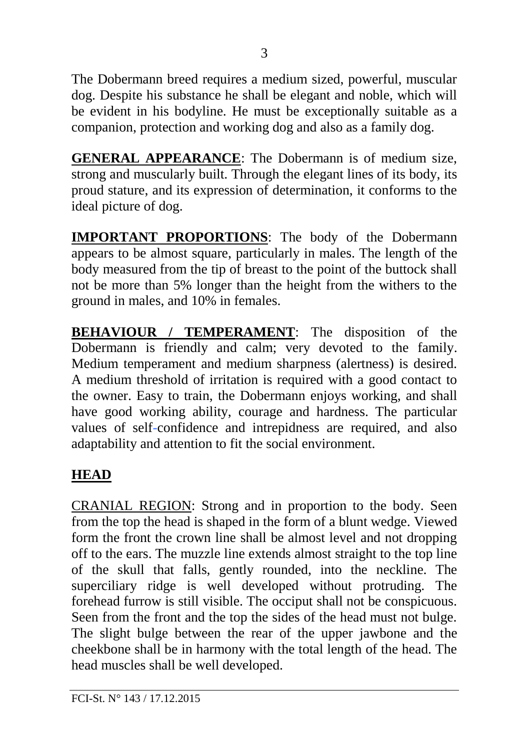The Dobermann breed requires a medium sized, powerful, muscular dog. Despite his substance he shall be elegant and noble, which will be evident in his bodyline. He must be exceptionally suitable as a companion, protection and working dog and also as a family dog.

**GENERAL APPEARANCE**: The Dobermann is of medium size, strong and muscularly built. Through the elegant lines of its body, its proud stature, and its expression of determination, it conforms to the ideal picture of dog.

**IMPORTANT PROPORTIONS**: The body of the Dobermann appears to be almost square, particularly in males. The length of the body measured from the tip of breast to the point of the buttock shall not be more than 5% longer than the height from the withers to the ground in males, and 10% in females.

**BEHAVIOUR / TEMPERAMENT**: The disposition of the Dobermann is friendly and calm; very devoted to the family. Medium temperament and medium sharpness (alertness) is desired. A medium threshold of irritation is required with a good contact to the owner. Easy to train, the Dobermann enjoys working, and shall have good working ability, courage and hardness. The particular values of self-confidence and intrepidness are required, and also adaptability and attention to fit the social environment.

# **HEAD**

CRANIAL REGION: Strong and in proportion to the body. Seen from the top the head is shaped in the form of a blunt wedge. Viewed form the front the crown line shall be almost level and not dropping off to the ears. The muzzle line extends almost straight to the top line of the skull that falls, gently rounded, into the neckline. The superciliary ridge is well developed without protruding. The forehead furrow is still visible. The occiput shall not be conspicuous. Seen from the front and the top the sides of the head must not bulge. The slight bulge between the rear of the upper jawbone and the cheekbone shall be in harmony with the total length of the head. The head muscles shall be well developed.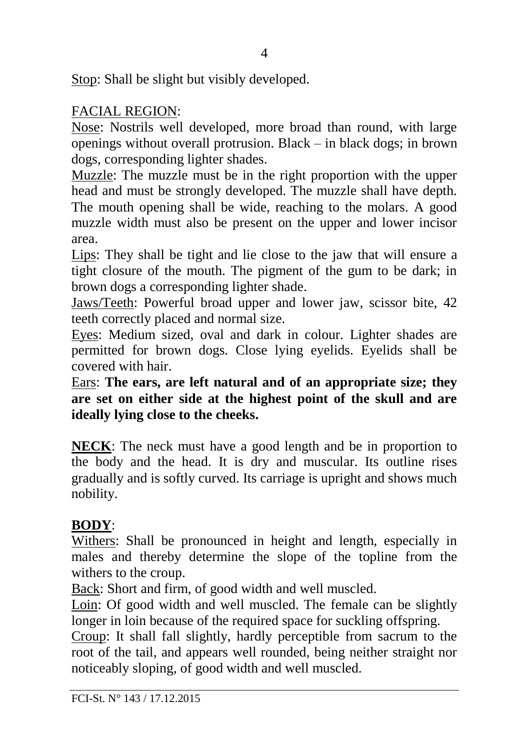Stop: Shall be slight but visibly developed.

## FACIAL REGION:

Nose: Nostrils well developed, more broad than round, with large openings without overall protrusion. Black – in black dogs; in brown dogs, corresponding lighter shades.

Muzzle: The muzzle must be in the right proportion with the upper head and must be strongly developed. The muzzle shall have depth. The mouth opening shall be wide, reaching to the molars. A good muzzle width must also be present on the upper and lower incisor area.

Lips: They shall be tight and lie close to the jaw that will ensure a tight closure of the mouth. The pigment of the gum to be dark; in brown dogs a corresponding lighter shade.

Jaws/Teeth: Powerful broad upper and lower jaw, scissor bite, 42 teeth correctly placed and normal size.

Eyes: Medium sized, oval and dark in colour. Lighter shades are permitted for brown dogs. Close lying eyelids. Eyelids shall be covered with hair.

Ears: **The ears, are left natural and of an appropriate size; they are set on either side at the highest point of the skull and are ideally lying close to the cheeks.** 

**NECK**: The neck must have a good length and be in proportion to the body and the head. It is dry and muscular. Its outline rises gradually and is softly curved. Its carriage is upright and shows much nobility.

## **BODY**:

Withers: Shall be pronounced in height and length, especially in males and thereby determine the slope of the topline from the withers to the croup.

Back: Short and firm, of good width and well muscled.

Loin: Of good width and well muscled. The female can be slightly longer in loin because of the required space for suckling offspring.

Croup: It shall fall slightly, hardly perceptible from sacrum to the root of the tail, and appears well rounded, being neither straight nor noticeably sloping, of good width and well muscled.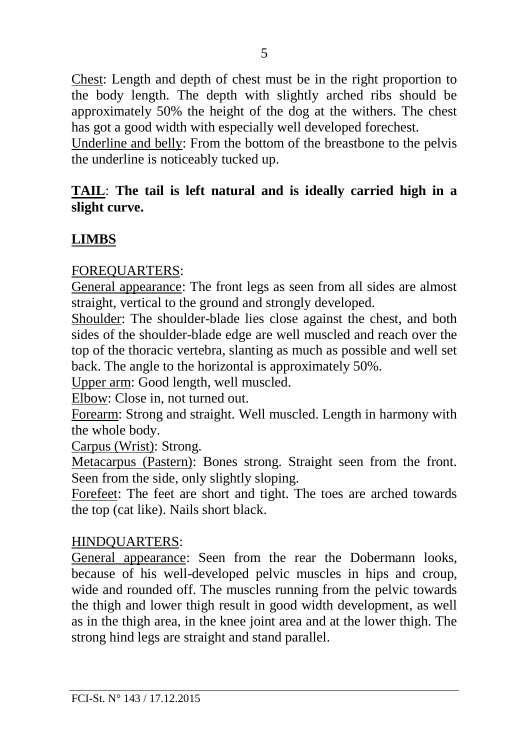Chest: Length and depth of chest must be in the right proportion to the body length. The depth with slightly arched ribs should be approximately 50% the height of the dog at the withers. The chest has got a good width with especially well developed forechest.

Underline and belly: From the bottom of the breastbone to the pelvis the underline is noticeably tucked up.

#### **TAIL**: **The tail is left natural and is ideally carried high in a slight curve.**

## **LIMBS**

#### FOREQUARTERS:

General appearance: The front legs as seen from all sides are almost straight, vertical to the ground and strongly developed.

Shoulder: The shoulder-blade lies close against the chest, and both sides of the shoulder-blade edge are well muscled and reach over the top of the thoracic vertebra, slanting as much as possible and well set back. The angle to the horizontal is approximately 50%.

Upper arm: Good length, well muscled.

Elbow: Close in, not turned out.

Forearm: Strong and straight. Well muscled. Length in harmony with the whole body.

Carpus (Wrist): Strong.

Metacarpus (Pastern): Bones strong. Straight seen from the front. Seen from the side, only slightly sloping.

Forefeet: The feet are short and tight. The toes are arched towards the top (cat like). Nails short black.

#### HINDQUARTERS:

General appearance: Seen from the rear the Dobermann looks, because of his well-developed pelvic muscles in hips and croup, wide and rounded off. The muscles running from the pelvic towards the thigh and lower thigh result in good width development, as well as in the thigh area, in the knee joint area and at the lower thigh. The strong hind legs are straight and stand parallel.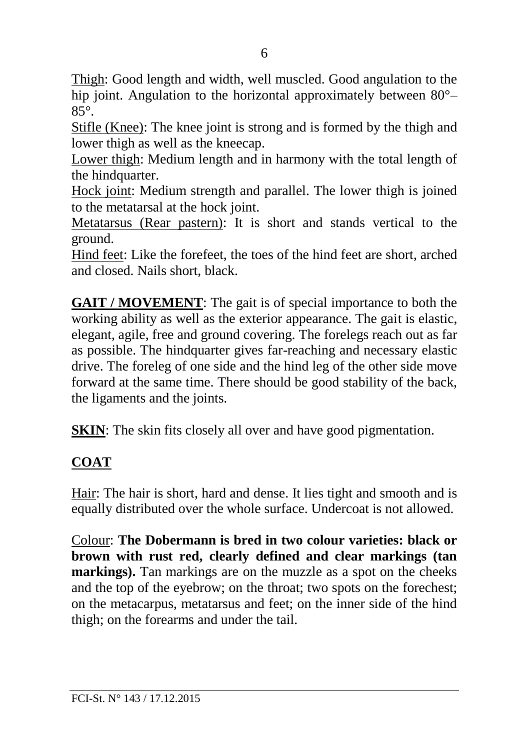Thigh: Good length and width, well muscled. Good angulation to the hip joint. Angulation to the horizontal approximately between  $80^{\circ}$ – 85°.

Stifle (Knee): The knee joint is strong and is formed by the thigh and lower thigh as well as the kneecap.

Lower thigh: Medium length and in harmony with the total length of the hindquarter.

Hock joint: Medium strength and parallel. The lower thigh is joined to the metatarsal at the hock joint.

Metatarsus (Rear pastern): It is short and stands vertical to the ground.

Hind feet: Like the forefeet, the toes of the hind feet are short, arched and closed. Nails short, black.

**GAIT / MOVEMENT**: The gait is of special importance to both the working ability as well as the exterior appearance. The gait is elastic, elegant, agile, free and ground covering. The forelegs reach out as far as possible. The hindquarter gives far-reaching and necessary elastic drive. The foreleg of one side and the hind leg of the other side move forward at the same time. There should be good stability of the back, the ligaments and the joints.

**SKIN:** The skin fits closely all over and have good pigmentation.

# **COAT**

Hair: The hair is short, hard and dense. It lies tight and smooth and is equally distributed over the whole surface. Undercoat is not allowed.

Colour: **The Dobermann is bred in two colour varieties: black or brown with rust red, clearly defined and clear markings (tan markings).** Tan markings are on the muzzle as a spot on the cheeks and the top of the eyebrow; on the throat; two spots on the forechest; on the metacarpus, metatarsus and feet; on the inner side of the hind thigh; on the forearms and under the tail.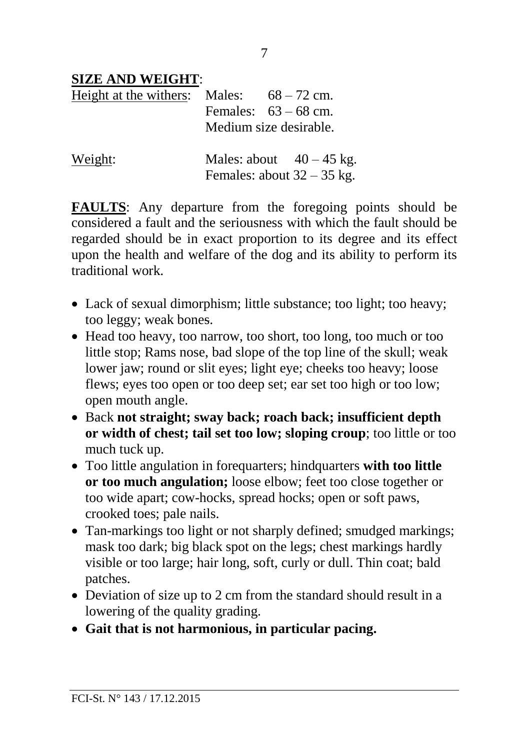#### **SIZE AND WEIGHT**:

| Height at the withers: Males: $68-72$ cm. | Females: $63 - 68$ cm.<br>Medium size desirable.           |
|-------------------------------------------|------------------------------------------------------------|
| Weight:                                   | Males: about $40 - 45$ kg.<br>Females: about $32 - 35$ kg. |

**FAULTS**: Any departure from the foregoing points should be considered a fault and the seriousness with which the fault should be regarded should be in exact proportion to its degree and its effect upon the health and welfare of the dog and its ability to perform its traditional work.

- Lack of sexual dimorphism; little substance; too light; too heavy; too leggy; weak bones.
- Head too heavy, too narrow, too short, too long, too much or too little stop; Rams nose, bad slope of the top line of the skull; weak lower jaw; round or slit eyes; light eye; cheeks too heavy; loose flews; eyes too open or too deep set; ear set too high or too low; open mouth angle.
- Back **not straight; sway back; roach back; insufficient depth or width of chest; tail set too low; sloping croup**; too little or too much tuck up.
- Too little angulation in forequarters; hindquarters **with too little or too much angulation;** loose elbow; feet too close together or too wide apart; cow-hocks, spread hocks; open or soft paws, crooked toes; pale nails.
- Tan-markings too light or not sharply defined; smudged markings; mask too dark; big black spot on the legs; chest markings hardly visible or too large; hair long, soft, curly or dull. Thin coat; bald patches.
- Deviation of size up to 2 cm from the standard should result in a lowering of the quality grading.
- **Gait that is not harmonious, in particular pacing.**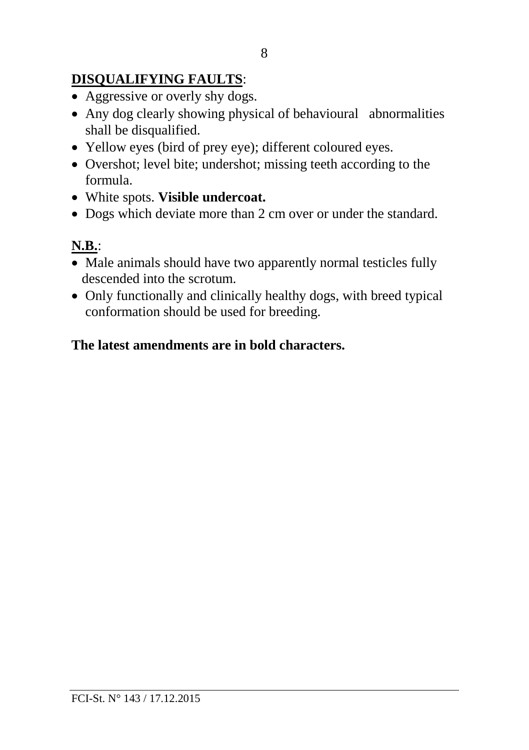# **DISQUALIFYING FAULTS**:

- Aggressive or overly shy dogs.
- Any dog clearly showing physical of behavioural abnormalities shall be disqualified.
- Yellow eyes (bird of prey eye); different coloured eyes.
- Overshot; level bite; undershot; missing teeth according to the formula.
- White spots. **Visible undercoat.**
- Dogs which deviate more than 2 cm over or under the standard.

## **N.B.**:

- Male animals should have two apparently normal testicles fully descended into the scrotum.
- Only functionally and clinically healthy dogs, with breed typical conformation should be used for breeding.

## **The latest amendments are in bold characters.**